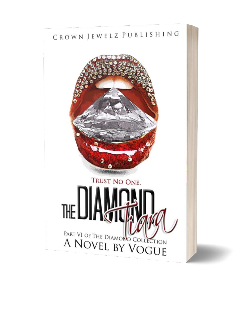## CROWN JEWELZ PUBLISHING

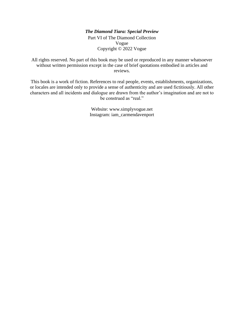#### *The Diamond Tiara: Special Preview* Part VI of The Diamond Collection Vogue Copyright © 2022 Vogue

All rights reserved. No part of this book may be used or reproduced in any manner whatsoever without written permission except in the case of brief quotations embodied in articles and reviews.

This book is a work of fiction. References to real people, events, establishments, organizations, or locales are intended only to provide a sense of authenticity and are used fictitiously. All other characters and all incidents and dialogue are drawn from the author's imagination and are not to be construed as "real."

> Website: www.simplyvogue.net Instagram: iam\_carmendavenport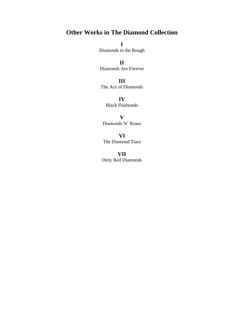### **Other Works in The Diamond Collection**

**I** Diamonds in the Rough

**II**

Diamonds Are Forever

**III** The Ace of Diamonds

> **IV** Black Diamonds

**V** Diamonds N' Roses

**VI** The Diamond Tiara

**VII** Dirty Red Diamonds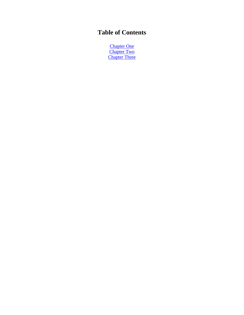## **Table of Contents**

<span id="page-3-0"></span>**[Chapter One](#page-3-0) [Chapter Two](#page-6-0)** [Chapter Three](#page-10-0)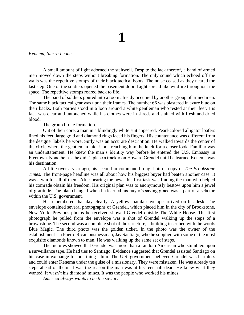# **1**

#### *Kenema, Sierra Leone*

A small amount of light adorned the stairwell. Despite the lack thereof, a band of armed men moved down the steps without breaking formation. The only sound which echoed off the walls was the repetitive stomps of their black tactical boots. The noise ceased as they neared the last step. One of the soldiers opened the basement door. Light spread like wildfire throughout the space. The repetitive stomps roared back to life.

The band of soldiers poured into a room already occupied by another group of armed men. The same black tactical gear was upon their frames. The number 66 was plastered in azure blue on their backs. Both parties stood in a loop around a white gentleman who rested at their feet. His face was clear and untouched while his clothes were in shreds and stained with fresh and dried blood.

The group broke formation.

Out of their core, a man in a blindingly white suit appeared. Pearl-colored alligator loafers lined his feet, large gold and diamond rings laced his fingers. His countenance was different from the designer labels he wore. Surly was an accurate description. He walked towards the center of the circle where the gentleman laid. Upon reaching him, he knelt for a closer look. Familiar was an understatement. He knew the man's identity way before he entered the U.S. Embassy in Freetown. Nonetheless, he didn't place a tracker on Howard Grendel until he learned Kenema was his destination.

A little over a year ago, his second in command brought him a copy of *The Brookstone Times*. The front-page headline was all about how his biggest buyer had beaten another case. It was a win for all of them. After hearing the news, his first task was finding the man who helped his comrade obtain his freedom. His original plan was to anonymously bestow upon him a jewel of gratitude. The plan changed when he learned his buyer's saving grace was a part of a scheme within the U.S. government.

He remembered that day clearly. A yellow manila envelope arrived on his desk. The envelope contained several photographs of Grendel, which placed him in the city of Brookstone, New York. Previous photos he received showed Grendel outside The White House. The first photograph he pulled from the envelope was a shot of Grendel walking up the steps of a brownstone. The second was a complete shot of the structure, a building inscribed with the words Blue Magic. The third photo was the golden ticket. In the photo was the owner of the establishment—a Puerto Rican businessman, Jay Santiago, who he supplied with some of the most exquisite diamonds known to man. He was walking up the same set of steps.

The pictures showed that Grendel was more than a random American who stumbled upon a surveillance tape. He had ties to Santiago. Evidence suggested that Grendel assisted Santiago on his case in exchange for one thing—him. The U.S. government believed Grendel was harmless and could enter Kenema under the guise of a missionary. They were mistaken. He was already ten steps ahead of them. It was the reason the man was at his feet half-dead. He knew what they wanted. It wasn't his diamond mines. It was the people who worked his mines.

*America always wants to be the savior*.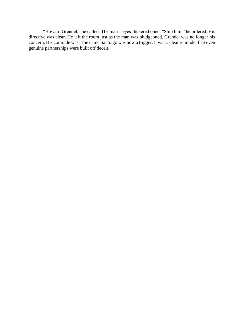"Howard Grendel," he called. The man's eyes flickered open. "Ship him," he ordered. His directive was clear. He left the room just as the man was bludgeoned. Grendel was no longer his concern. His comrade was. The name Santiago was now a trigger. It was a clear reminder that even genuine partnerships were built off deceit.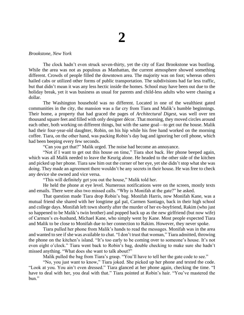#### <span id="page-6-0"></span>*Brookstone, New York*

The clock hadn't even struck seven-thirty, yet the city of East Brookstone was bustling. While the area was not as populous as Manhattan, the current atmosphere showed something different. Crowds of people filled the downtown area. The majority was on foot; whereas others hailed cabs or utilized other forms of public transportation. The subdivisions had far less traffic, but that didn't mean it was any less hectic inside the homes. School may have been out due to the holiday break, yet it was business as usual for parents and child-less adults who were chasing a dollar.

The Washington household was no different. Located in one of the wealthiest gated communities in the city, the mansion was a far cry from Tiara and Malik's humble beginnings. Their home, a property that had graced the pages of *Architectural Digest*, was well over ten thousand square feet and filled with only designer décor. That morning, they moved circles around each other, both working on different things, but with the same goal—to get out the house. Malik had their four-year-old daughter, Robin, on his hip while his free hand worked on the morning coffee. Tiara, on the other hand, was packing Robin's day bag and ignoring her cell phone, which had been beeping every few seconds.

"Can you get that?" Malik urged. The noise had become an annoyance.

"Not if I want to get out this house on time," Tiara shot back. Her phone beeped again, which was all Malik needed to leave the Keurig alone. He headed to the other side of the kitchen and picked up her phone. Tiara saw him out the corner of her eye, yet she didn't stop what she was doing. They made an agreement there wouldn't be any secrets in their house. He was free to check any device she owned and vice versa.

"This will definitely get you out the house," Malik told her.

He held the phone at eye level. Numerous notifications were on the screen, mostly texts and emails. There were also two missed calls. "Why is Monifah at the gate?" he asked.

That question made Tiara drop Robin's bag. Monifah Harris, now Monifah Kane, was a mutual friend she shared with her longtime gal pal, Carmen Santiago, back in their high school and college days. Monifah left town shortly after the murder of her ex-boyfriend, Rakim (who just so happened to be Malik's twin brother) and popped back up as the new girlfriend (but now wife) of Carmen's ex-husband, Michael Kane, who simply went by Kane. Most people expected Tiara and Malik to be close to Monifah due to her connection to Rakim. However, they never spoke.

Tiara pulled her phone from Malik's hands to read the messages. Monifah was in the area and wanted to see if she was available to chat. "I don't trust that woman," Tiara admitted, throwing the phone on the kitchen's island. "It's too early to be coming over to someone's house. It's not even eight o'clock." Tiara went back to Robin's bag, double checking to make sure she hadn't missed anything. "What does she want to talk about?"

Malik pulled the bag from Tiara's grasp. "You'll have to tell her the gate code to see."

"No, you just want to know," Tiara joked. She picked up her phone and texted the code. "Look at you. You ain't even dressed." Tiara glanced at her phone again, checking the time. "I have to deal with her, you deal with that." Tiara pointed at Robin's hair. "You've mastered the bun."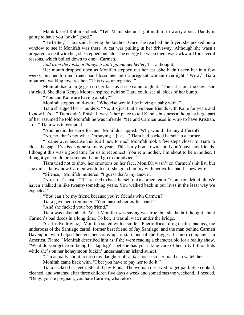Malik kissed Robin's cheek. "Tell Mama she ain't got nuthin' to worry about. Daddy is going to have you lookin' good."

"He better," Tiara said, leaving the kitchen. Once she reached the foyer, she peeked out a window to see if Monifah was there. A car was pulling in her driveway. Although she wasn't prepared to deal with her, she stepped outside. The energy between them was awkward for several reasons, which boiled down to one—Carmen.

*And from the looks of things, it ain't gonna get better*, Tiara thought.

Her mouth dropped open as Monifah stepped out her car. She hadn't seen her in a few weeks, but her former friend had blossomed into a pregnant woman overnight. "Wow," Tiara mouthed, walking towards her. "This is so unexpected."

Monifah had a large grin on her face as if she came to gloat. "The cat is out the bag," she shrieked. She did a Kenya Moore-inspired twirl so Tiara could see all sides of her bump.

"You and Kane are having a baby?"

Monifah stopped mid-twirl. "Who else would I be having a baby with?"

Tiara shrugged her shoulders. "No, it's just that I've been friends with Kane for years and I know he's…" Tiara didn't finish. It wasn't her place to tell Kane's business although a large part of her assumed he told Monifah he was infertile. "He and Carmen used in vitro to have Kristian, so—" Tiara was interrupted.

"And he did the same for me," Monifah snapped. "Why would I be any different?"

"No, no, that's not what I'm saying. I just…" Tiara had backed herself in a corner.

"I came over because this is all new to me." Monifah took a few steps closer to Tiara to close the gap. "I've been gone so many years. This is my hometown, and I don't have any friends. I thought this was a good time for us to reconnect. You're a mother, I'm about to be a mother. I thought you could be someone I could go to for advice."

Tiara tried not to show her emotions on her face. Monifah wasn't on Carmen's hit list, but she didn't know how Carmen would feel if she got chummy with her ex-husband's new wife.

"Silence," Monifah muttered. "I guess that's my answer."

"No, no, it's just…" Tiara tried to back herself out a corner again. "Come on, Monifah. We haven't talked in like twenty-something years. You walked back in our lives in the least way we expected."

"You can't be my friend because you're friends with Carmen?"

Tiara gave her a reminder. "You married her ex-husband."

"And she fucked your boyfriend."

Tiara was taken aback. What Monifah was saying was true, but she hadn't thought about Carmen's bad deeds in a long time. To her, it was all water under the bridge.

"Carlos Rodriguez," Monifah stated with a smile. "Puerto Rican drug dealin' bad ass, the underboss of the Santiago cartel, former best friend of Jay Santiago, and the man behind Carmen Davenport who helped her get her coins up to start one of the biggest fashion companies in America, Flame." Monifah described him as if she were reading a character bio for a reality show. "What do you get from being her lapdog? I bet she has you taking care of her fifty billion kids while she's on her honeymoon fuckin' underneath an island sunset."

"I'm actually about to drop my daughter off at *her* house so her maid can watch her."

Monifah came back with, "I bet you have to pay her to do it."

Tiara sucked her teeth. She did pay Fiona. The woman deserved to get paid. She cooked, cleaned, and watched after three children five days a week and sometimes the weekend, if needed. "Okay, you're pregnant, you hate Carmen, what else?"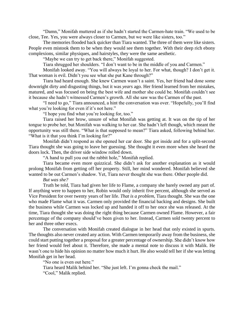"Damn," Monifah muttered as if she hadn't started the Carmen-hate train. "We used to be close, Tee. Yes, you were always closer to Carmen, but we were like sisters, too."

The memories flooded back quicker than Tiara wanted. The three of them were like sisters. People even mistook them to be when they would see them together. With their deep rich ebony complexions, similar physiques, and hairstyles, they were the same aesthetic.

"Maybe we can try to get back there," Monifah suggested.

Tiara shrugged her shoulders. "I don't want to be in the middle of you and Carmen."

Monifah looked away. "You will always be loyal to her. For what, though? I don't get it. That woman is evil. Didn't you see what she put Kane through?"

Tiara had heard enough. She knew Carmen wasn't a saint. Yes, her friend had done some downright dirty and disgusting things, but it was *years* ago. Her friend learned from her mistakes, matured, and was focused on being the best wife and mother she could be. Monifah couldn't see it because she hadn't witnessed Carmen's growth. All she saw was the Carmen of the past.

"I need to go," Tiara announced, a hint the conversation was over. "Hopefully, you'll find what you're looking for even if it's not here."

"I hope you find what you're looking for, too."

Tiara raised her brow, unsure of what Monifah was getting at. It was on the tip of her tongue to probe her, but Monifah was walking to her car. She hadn't left though, which meant the opportunity was still there. "What is that supposed to mean?" Tiara asked, following behind her. "What is it that you think I'm looking for?"

Monifah didn't respond as she opened her car door. She got inside and for a split-second Tiara thought she was going to leave her guessing. She thought it even more when she heard the doors lock. Then, the driver side window rolled down.

"A hand to pull you out the rabbit hole," Monifah replied.

Tiara became even more quizzical. She didn't ask for another explanation as it would prolong Monifah from getting off her property. Still, her mind wondered. Monifah believed she wanted to be out Carmen's shadow. Yet, Tiara never thought she was there. Other people did.

#### *But was she?*

Truth be told, Tiara had given her life to Flame, a company she barely owned any part of. If anything were to happen to her, Robin would only inherit five percent, although she served as Vice President for over twenty years of her life. *That is a problem,* Tiara thought. She was the one who made Flame what it was. Carmen only provided the financial backing and designs. She built the business while Carmen was locked up and handed it off to her once she was released. At the time, Tiara thought she was doing the right thing because Carmen owned Flame. However, a fair percentage of the company should've been given to her. Instead, Carmen sold twenty percent to her and three other execs.

The conversation with Monifah created dialogue in her head that only existed in spurts. The thoughts also never created any action. With Carmen temporarily away from the business, she could start putting together a proposal for a greater percentage of ownership. She didn't know how her friend would feel about it. Therefore, she made a mental note to discuss it with Malik. He wasn't one to hide his opinion no matter how much it hurt. He also would tell her if she was letting Monifah get in her head.

"No one is even out here."

Tiara heard Malik behind her. "She just left. I'm gonna check the mail."

"Cool," Malik replied.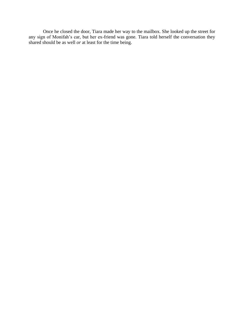Once he closed the door, Tiara made her way to the mailbox. She looked up the street for any sign of Monifah's car, but her ex-friend was gone. Tiara told herself the conversation they shared should be as well *or* at least for the time being.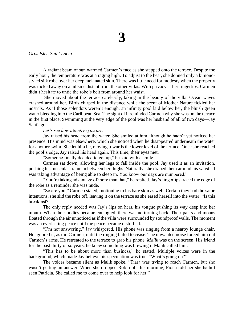#### <span id="page-10-0"></span>*Gros Islet, Saint Lucia*

A radiant beam of sun warmed Carmen's face as she stepped onto the terrace. Despite the early hour, the temperature was at a raging high. To adjust to the heat, she donned only a kimonostyled silk robe over her deep melanated skin. There was little need for modesty when the property was tucked away on a hillside distant from the other villas. With privacy at her fingertips, Carmen didn't hesitate to untie the robe's belt from around her waist.

She moved about the terrace carelessly, taking in the beauty of the villa. Ocean waves crashed around her. Birds chirped in the distance while the scent of Mother Nature tickled her nostrils. As if those splendors weren't enough, an infinity pool laid below her, the bluish green water bleeding into the Caribbean Sea. The sight of it reminded Carmen why she was on the terrace in the first place. Swimming at the very edge of the pool was her husband of all of two days—Jay Santiago.

#### *Let's see how attentive you are.*

Jay raised his head from the water. She smiled at him although he hadn't yet noticed her presence. His mind was elsewhere, which she noticed when he disappeared underneath the water for another swim. She let him be, moving towards the lower level of the terrace. Once she reached the pool's edge, Jay raised his head again. This time, their eyes met.

"Someone finally decided to get up," he said with a smile.

Carmen sat down, allowing her legs to fall inside the pool. Jay used it as an invitation, pushing his muscular frame in between her thighs. Naturally, she draped them around his waist. "I was taking advantage of being able to sleep in. You know our days are numbered."

"You're taking advantage of more than that," he replied. Jay's fingertips traced the edge of the robe as a reminder she was nude.

"So are you," Carmen stated, motioning to his bare skin as well. Certain they had the same intentions, she slid the robe off, leaving it on the terrace as she eased herself into the water. "Is this breakfast?"

The only reply needed was Jay's lips on hers, his tongue pushing its way deep into her mouth. When their bodies became entangled, there was no turning back. Their pants and moans floated through the air unnoticed as if the villa were surrounded by soundproof walls. The moment was an everlasting peace until the peace became disturbed.

"I'm not answering," Jay whispered. His phone was ringing from a nearby lounge chair. He ignored it, as did Carmen, until the ringing failed to cease. The unwanted noise forced him out Carmen's arms. He retreated to the terrace to grab his phone. *Malik* was on the screen. His friend for the past thirty or so years, he knew something was brewing if Malik called him.

"This has to be about more than business," he stated. Multiple voices were in the background, which made Jay believe his speculation was true. "What's going on?"

The voices became silent as Malik spoke. "Tiara was trying to reach Carmen, but she wasn't getting an answer. When she dropped Robin off this morning, Fiona told her she hadn't seen Patricia. She called me to come over to help look for her."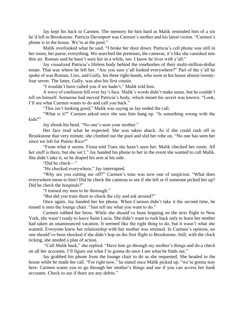Jay kept his back to Carmen. The memory hit him hard as Malik reminded him of a sin he'd left in Brookstone. Patricia Davenport was Carmen's mother and his latest victim. "Carmen's phone is in the house. We're at the pool."

Malik overlooked what he said. "I broke her door down. Patricia's cell phone was still in her room, her purse, everything. We searched the premises, the cameras, it's like she vanished into thin air. Roman said he hasn't seen her in a while, too. I know he lives with y'all."

Jay visualized Patricia's lifeless body behind the rosebushes of their multi-million-dollar estate. That was where he left her. "Are you sure y'all looked everywhere?" Part of the y'all he spoke of was Roman, Linx, and Gully, his three right-hands, who were at his house almost twentyfour seven. The latter, Gully, was also his first cousin.

"I wouldn't have called you if we hadn't," Malik told him.

A wave of confusion fell over Jay's face. Malik's words didn't make sense, but he couldn't tell on himself. Someone had moved Patricia's body, which meant his secret was known. "Look, I'll see what Carmen wants to do and call you back."

"This isn't looking good," Malik was saying as Jay ended the call.

"What is it?" Carmen asked once she saw him hang up. "Is something wrong with the kids?"

Jay shook his head. "No one's seen your mother."

Her face read what he expected. She was taken aback. As if she could rush off to Brookstone that very minute, she climbed out the pool and slid her robe on. "No one has seen her since we left for Puerto Rico?"

"From what it seems. Fiona told Tiara she hasn't seen her. Malik checked her room. All her stuff is there, but she isn't." Jay handed his phone to her in the event she wanted to call Malik. She didn't take it, so he draped his arm at his side.

"Did he check—"

"He checked everywhere," Jay interrupted.

"Why are you cutting me off?" Carmen's tone was now one of suspicion. "What does everywhere mean to him? Did he check the cameras to see if she left or if someone picked her up? Did he check the hospitals?"

"I trained my men to be thorough."

"But did you train them to check the city and ask around?"

Once again, Jay handed her his phone. When Carmen didn't take it the second time, he tossed it onto the lounge chair. "Just tell me what you want to do."

Carmen rubbed her brow. While she should've been hopping on the next flight to New York, she wasn't ready to leave Saint Lucia. She didn't want to rush back only to learn her mother had taken an unannounced vacation. It seemed like the right thing to do, but it wasn't what she wanted. Everyone knew her relationship with her mother was strained. In Carmen's opinion, no one should've been shocked if she didn't hop on the first flight to Brookstone. Still, with the clock ticking, she needed a plan of action.

"Call Malik back," she replied. "Have him go through my mother's things and do a check on all her accounts. I'll figure out what I'm gonna do once I see what he finds out."

Jay grabbed his phone from the lounge chair to do as she requested. She headed in the house while he made the call. "For right now," he stated once Malik picked up, "we're gonna stay here. Carmen wants you to go through her mother's things and see if you can access her bank accounts. Check to see if there are any debits."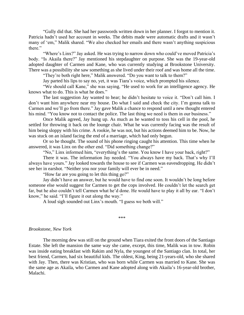"Gully did that. She had her passwords written down in her planner. I forgot to mention it. Patricia hadn't used her account in weeks. The debits made were automatic drafts and it wasn't many of 'em," Malik shared. "We also checked her emails and there wasn't anything suspicious there."

"Where's Linx?" Jay asked. He was trying to narrow down who could've moved Patricia's body. "Is Akaila there?" Jay mentioned his stepdaughter on purpose. She was the 19-year-old adopted daughter of Carmen and Kane, who was currently studying at Brookstone University. There was a possibility she saw something as she lived under their roof and was home all the time.

"They're both right here," Malik answered. "Do you want to talk to them?"

Jay parted his lips to say no, yet, it was Tiara's voice, which prompted his silence.

"We should call Kane," she was saying. "He used to work for an intelligence agency. He knows what to do. This is what he does."

The last suggestion Jay wanted to hear; he didn't hesitate to voice it. "Don't call him. I don't want him anywhere near my house. Do what I said and check the city. I'm gonna talk to Carmen and we'll go from there." Jay gave Malik a chance to respond until a new thought entered his mind. "You know not to contact the police. The last thing we need is them in our business."

Once Malik agreed, Jay hung up. As much as he wanted to toss his cell in the pool, he settled for throwing it back on the lounge chair. What he was currently facing was the result of him being sloppy with his crime. A rookie, he was not, but his actions deemed him to be. Now, he was stuck on an island facing the end of a marriage, which had only begun.

Or so he thought. The sound of his phone ringing caught his attention. This time when he answered, it was Linx on the other end. "Did something change?"

"No," Linx informed him, "everything's the same. You know I have your back, right?"

There it was. The information Jay needed. "You always have my back. That's why I'll always have yours." Jay looked towards the house to see if Carmen was eavesdropping. He didn't see her in earshot. "Neither you nor your family will ever be in need."

"How far are you going to let this thing go?"

Jay didn't have an answer, but he would have to find one soon. It wouldn't be long before someone else would suggest for Carmen to get the cops involved. He couldn't let the search get far, but he also couldn't tell Carmen what he'd done. He would have to play it all by ear. "I don't know," he said. "I'll figure it out along the way."

A loud sigh sounded out Linx's mouth. "I guess we both will."

\*\*\*

#### *Brookstone, New York*

The morning dew was still on the ground when Tiara exited the front doors of the Santiago Estate. She left the mansion the same way she came, except, this time, Malik was in tow. Robin was inside eating breakfast with Rakim and Nyla, the youngest of the Santiago clan. In total, her best friend, Carmen, had six beautiful kids. The oldest, King, being 21-years-old, who she shared with Jay. Then, there was Kristian, who was born while Carmen was married to Kane. She was the same age as Akaila, who Carmen and Kane adopted along with Akaila's 16-year-old brother, Malachi.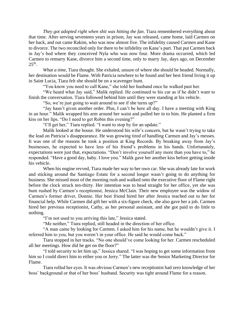*They got adopted right when shit was hitting the fan*. Tiara remembered everything about that time. After serving seventeen years in prison, Jay was released, came home, laid Carmen on her back, and out came Rakim, who was now almost five. The infidelity caused Carmen and Kane to divorce. The two reconciled only for there to be infidelity on Kane's part. That put Carmen back in Jay's bed where they conceived Nyla who was now four. More drama occurred, which led Carmen to remarry Kane, divorce him a second time, only to marry Jay, days ago, on December  $25<sup>th</sup>$ .

*What a time*, Tiara thought. She exhaled, unsure of where she should be headed. Normally, her destination would be Flame. With Patricia nowhere to be found and her best friend living it up in Saint Lucia, Tiara felt she should be on a scavenger hunt.

"You know you need to call Kane," she told her husband once he walked past her.

"We heard what Jay said," Malik replied. He continued to his car as if he didn't want to finish the conversation. Tiara followed behind him until they were standing at his vehicle.

"So, we're just going to wait around to see if she turns up?"

"Jay hasn't given another order. Plus, I can't be here all day. I have a meeting with King in an hour." Malik wrapped his arm around her waist and pulled her in to him. He planted a firm kiss on her lips. "Do I need to get Robin this evening?"

"I'll get her," Tiara replied. "I want to stop by for an update."

Malik looked at the house. He understood his wife's concern, but he wasn't trying to take the lead on Patricia's disappearance. He was growing tired of handling Carmen and Jay's messes. It was one of the reasons he took a position at King Records. By breaking away from Jay's businesses, he expected to have less of his friend's problems in his hands. Unfortunately, expectations were just that, expectations. "Don't involve yourself any more than you have to," he responded. "Have a good day, baby. I love you." Malik gave her another kiss before getting inside his vehicle.

When his engine revved, Tiara made her way to her own car. She was already late for work and sticking around the Santiago Estate for a second longer wasn't going to do anything for business. She missed most of the morning rush and walked onto the executive floor of Flame right before the clock struck ten-thirty. Her intention was to head straight for her office, yet she was bum rushed by Carmen's receptionist, Jessica McClain. Their new employee was the widow of Carmen's former driver, Donnie. Her best friend hired her after Jessica reached out to her for financial help. While Carmen did gift her with a six-figure check, she also gave her a job. Carmen hired her previous receptionist, Cathy, as her personal assistant, and she got paid to do little to nothing.

"I'm not used to you arriving this late," Jessica stated.

"Me neither," Tiara replied, still headed in the direction of her office.

"A man came by looking for Carmen. I asked him for his name, but he wouldn't give it. I referred him to you, but you weren't in your office. He said he would come back."

Tiara stopped in her tracks. "No one should've come looking for her. Carmen rescheduled all her meetings. How did he get on the floor?"

"I told security to let him up," Jessica shared. "I was hoping to get some information from him so I could direct him to either you or Jerry." The latter was the Senior Marketing Director for Flame.

Tiara rolled her eyes. It was obvious Carmen's new receptionist had zero knowledge of her boss' background or that of her boss' husband. Security was tight around Flame for a reason.